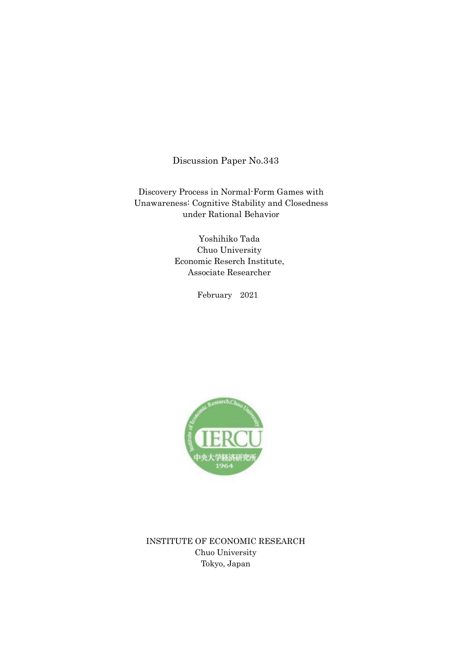Discussion Paper No.343

Discovery Process in Normal-Form Games with Unawareness: Cognitive Stability and Closedness under Rational Behavior

> Yoshihiko Tada Chuo University Economic Reserch Institute, Associate Researcher

> > February 2021



INSTITUTE OF ECONOMIC RESEARCH Chuo University Tokyo, Japan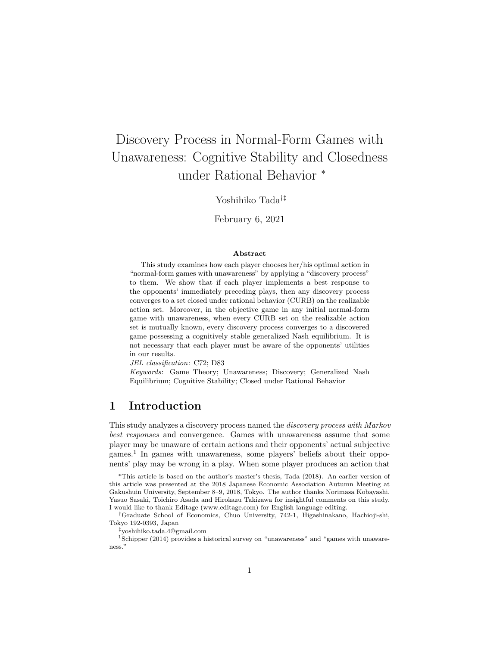# Discovery Process in Normal-Form Games with Unawareness: Cognitive Stability and Closedness under Rational Behavior *<sup>∗</sup>*

Yoshihiko Tada*†‡*

February 6, 2021

#### **Abstract**

This study examines how each player chooses her/his optimal action in "normal-form games with unawareness" by applying a "discovery process" to them. We show that if each player implements a best response to the opponents' immediately preceding plays, then any discovery process converges to a set closed under rational behavior (CURB) on the realizable action set. Moreover, in the objective game in any initial normal-form game with unawareness, when every CURB set on the realizable action set is mutually known, every discovery process converges to a discovered game possessing a cognitively stable generalized Nash equilibrium. It is not necessary that each player must be aware of the opponents' utilities in our results.

*JEL classification*: C72; D83

*Keywords*: Game Theory; Unawareness; Discovery; Generalized Nash Equilibrium; Cognitive Stability; Closed under Rational Behavior

# **1 Introduction**

This study analyzes a discovery process named the *discovery process with Markov best responses* and convergence. Games with unawareness assume that some player may be unaware of certain actions and their opponents' actual subjective games.<sup>1</sup> In games with unawareness, some players' beliefs about their opponents' play may be wrong in a play. When some player produces an action that

*†*Graduate School of Economics, Chuo University, 742-1, Higashinakano, Hachioji-shi, Tokyo 192-0393, Japan

*‡*yoshihiko.tada.4@gmail.com

*<sup>∗</sup>*This article is based on the author's master's thesis, Tada (2018). An earlier version of this article was presented at the 2018 Japanese Economic Association Autumn Meeting at Gakushuin University, September 8–9, 2018, Tokyo. The author thanks Norimasa Kobayashi, Yasuo Sasaki, Toichiro Asada and Hirokazu Takizawa for insightful comments on this study. I would like to thank Editage (www.editage.com) for English language editing.

<sup>1</sup>Schipper (2014) provides a historical survey on "unawareness" and "games with unawareness."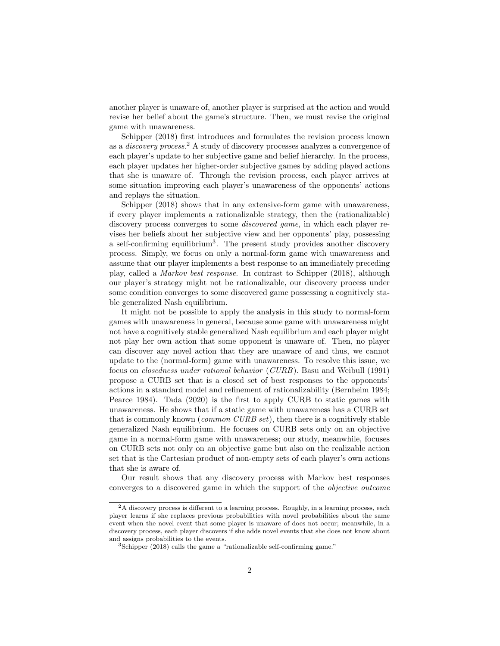another player is unaware of, another player is surprised at the action and would revise her belief about the game's structure. Then, we must revise the original game with unawareness.

Schipper (2018) first introduces and formulates the revision process known as a *discovery process*. <sup>2</sup> A study of discovery processes analyzes a convergence of each player's update to her subjective game and belief hierarchy. In the process, each player updates her higher-order subjective games by adding played actions that she is unaware of. Through the revision process, each player arrives at some situation improving each player's unawareness of the opponents' actions and replays the situation.

Schipper (2018) shows that in any extensive-form game with unawareness, if every player implements a rationalizable strategy, then the (rationalizable) discovery process converges to some *discovered game*, in which each player revises her beliefs about her subjective view and her opponents' play, possessing a self-confirming equilibrium<sup>3</sup>. The present study provides another discovery process. Simply, we focus on only a normal-form game with unawareness and assume that our player implements a best response to an immediately preceding play, called a *Markov best response*. In contrast to Schipper (2018), although our player's strategy might not be rationalizable, our discovery process under some condition converges to some discovered game possessing a cognitively stable generalized Nash equilibrium.

It might not be possible to apply the analysis in this study to normal-form games with unawareness in general, because some game with unawareness might not have a cognitively stable generalized Nash equilibrium and each player might not play her own action that some opponent is unaware of. Then, no player can discover any novel action that they are unaware of and thus, we cannot update to the (normal-form) game with unawareness. To resolve this issue, we focus on *closedness under rational behavior* (*CURB*). Basu and Weibull (1991) propose a CURB set that is a closed set of best responses to the opponents' actions in a standard model and refinement of rationalizability (Bernheim 1984; Pearce 1984). Tada (2020) is the first to apply CURB to static games with unawareness. He shows that if a static game with unawareness has a CURB set that is commonly known (*common CURB set*), then there is a cognitively stable generalized Nash equilibrium. He focuses on CURB sets only on an objective game in a normal-form game with unawareness; our study, meanwhile, focuses on CURB sets not only on an objective game but also on the realizable action set that is the Cartesian product of non-empty sets of each player's own actions that she is aware of.

Our result shows that any discovery process with Markov best responses converges to a discovered game in which the support of the *objective outcome*

<sup>&</sup>lt;sup>2</sup>A discovery process is different to a learning process. Roughly, in a learning process, each player learns if she replaces previous probabilities with novel probabilities about the same event when the novel event that some player is unaware of does not occur; meanwhile, in a discovery process, each player discovers if she adds novel events that she does not know about and assigns probabilities to the events.

<sup>3</sup>Schipper (2018) calls the game a "rationalizable self-confirming game."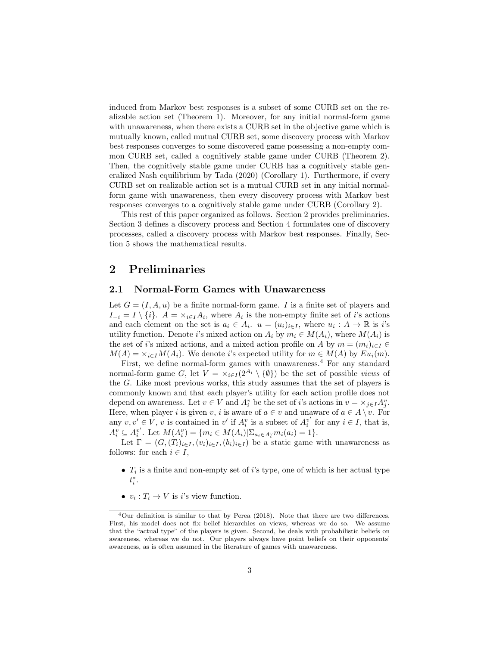induced from Markov best responses is a subset of some CURB set on the realizable action set (Theorem 1). Moreover, for any initial normal-form game with unawareness, when there exists a CURB set in the objective game which is mutually known, called mutual CURB set, some discovery process with Markov best responses converges to some discovered game possessing a non-empty common CURB set, called a cognitively stable game under CURB (Theorem 2). Then, the cognitively stable game under CURB has a cognitively stable generalized Nash equilibrium by Tada (2020) (Corollary 1). Furthermore, if every CURB set on realizable action set is a mutual CURB set in any initial normalform game with unawareness, then every discovery process with Markov best responses converges to a cognitively stable game under CURB (Corollary 2).

This rest of this paper organized as follows. Section 2 provides preliminaries. Section 3 defines a discovery process and Section 4 formulates one of discovery processes, called a discovery process with Markov best responses. Finally, Section 5 shows the mathematical results.

## **2 Preliminaries**

### **2.1 Normal-Form Games with Unawareness**

Let  $G = (I, A, u)$  be a finite normal-form game. I is a finite set of players and  $I_{-i} = I \setminus \{i\}$ .  $A = \times_{i \in I} A_i$ , where  $A_i$  is the non-empty finite set of *i*'s actions and each element on the set is  $a_i \in A_i$ .  $u = (u_i)_{i \in I}$ , where  $u_i : A \to \mathbb{R}$  is *i*'s utility function. Denote *i*'s mixed action on  $A_i$  by  $m_i \in M(A_i)$ , where  $M(A_i)$  is the set of *i*'s mixed actions, and a mixed action profile on *A* by  $m = (m_i)_{i \in I} \in$  $M(A) = \times_{i \in I} M(A_i)$ . We denote *i*'s expected utility for  $m \in M(A)$  by  $Eu_i(m)$ .

First, we define normal-form games with unawareness.<sup>4</sup> For any standard normal-form game *G*, let  $V = \times_{i \in I} (2^{A_i} \setminus \{\emptyset\})$  be the set of possible *views* of the *G*. Like most previous works, this study assumes that the set of players is commonly known and that each player's utility for each action profile does not depend on awareness. Let  $v \in V$  and  $A_i^v$  be the set of *i*'s actions in  $v = \times_{j \in I} A_j^v$ . Here, when player *i* is given *v*, *i* is aware of  $a \in v$  and unaware of  $a \in A \setminus v$ . For any  $v, v' \in V$ , *v* is contained in *v'* if  $A_i^v$  is a subset of  $A_i^{v'}$  for any  $i \in I$ , that is,  $A_i^v \subseteq A_i^{v'}$ . Let  $M(A_i^v) = \{m_i \in M(A_i)|\Sigma_{a_i \in A_i^v} m_i(a_i) = 1\}.$ 

Let  $\Gamma = (G, (T_i)_{i \in I}, (v_i)_{i \in I}, (b_i)_{i \in I})$  be a static game with unawareness as follows: for each  $i \in I$ ,

- *• T<sup>i</sup>* is a finite and non-empty set of *i*'s type, one of which is her actual type *t ∗ i* .
- $v_i: T_i \to V$  is *i*'s view function.

<sup>4</sup>Our definition is similar to that by Perea (2018). Note that there are two differences. First, his model does not fix belief hierarchies on views, whereas we do so. We assume that the "actual type" of the players is given. Second, he deals with probabilistic beliefs on awareness, whereas we do not. Our players always have point beliefs on their opponents' awareness, as is often assumed in the literature of games with unawareness.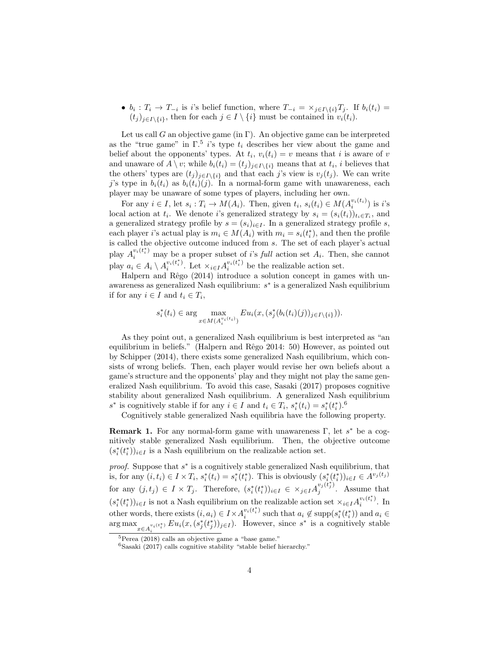•  $b_i: T_i \to T_{-i}$  is i's belief function, where  $T_{-i} = \times_{j \in I \setminus \{i\}} T_j$ . If  $b_i(t_i) =$  $(t_i)_{i \in I \setminus \{i\}}$ , then for each  $j \in I \setminus \{i\}$  must be contained in  $v_i(t_i)$ .

Let us call  $G$  an objective game (in  $\Gamma$ ). An objective game can be interpreted as the "true game" in  $\Gamma$ <sup>5</sup> *i*'s type  $t_i$  describes her view about the game and belief about the opponents' types. At  $t_i$ ,  $v_i(t_i) = v$  means that *i* is aware of *v* and unaware of  $A \setminus v$ ; while  $b_i(t_i) = (t_j)_{j \in I \setminus \{i\}}$  means that at  $t_i$ , *i* believes that the others' types are  $(t_j)_{j \in I \setminus \{i\}}$  and that each *j*'s view is  $v_j(t_j)$ . We can write *j*'s type in  $b_i(t_i)$  as  $b_i(t_i)(j)$ . In a normal-form game with unawareness, each player may be unaware of some types of players, including her own.

For any  $i \in I$ , let  $s_i : T_i \to M(A_i)$ . Then, given  $t_i$ ,  $s_i(t_i) \in M(A_i^{v_i(t_i)})$  is i's local action at  $t_i$ . We denote *i*'s generalized strategy by  $s_i = (s_i(t_i))_{t_i \in T_i}$ , and a generalized strategy profile by  $s = (s_i)_{i \in I}$ . In a generalized strategy profile *s*, each player *i*'s actual play is  $m_i \in M(A_i)$  with  $m_i = s_i(t_i^*)$ , and then the profile is called the objective outcome induced from *s*. The set of each player's actual play  $A_i^{v_i(t_i^*)}$  may be a proper subset of *i*'s *full* action set  $A_i$ . Then, she cannot play  $a_i \in A_i \setminus A_i^{v_i(t_i^*)}$  $\sum_{i}^{v_i(t_i^*)}$ . Let  $\times_{i \in I} A_i^{v_i(t_i^*)}$  $\sum_{i}^{v_i(t_i)}$  be the realizable action set.

Halpern and Rêgo (2014) introduce a solution concept in games with unawareness as generalized Nash equilibrium: *s ∗* is a generalized Nash equilibrium if for any  $i \in I$  and  $t_i \in T_i$ ,

$$
s_i^*(t_i) \in \arg \max_{x \in M(A_i^{v_i(t_i)})} Eu_i(x, (s_j^*(b_i(t_i)(j)))_{j \in I \setminus \{i\}})).
$$

As they point out, a generalized Nash equilibrium is best interpreted as "an equilibrium in beliefs." (Halpern and Rêgo 2014: 50) However, as pointed out by Schipper (2014), there exists some generalized Nash equilibrium, which consists of wrong beliefs. Then, each player would revise her own beliefs about a game's structure and the opponents' play and they might not play the same generalized Nash equilibrium. To avoid this case, Sasaki (2017) proposes cognitive stability about generalized Nash equilibrium. A generalized Nash equilibrium  $s^*$  is cognitively stable if for any  $i \in I$  and  $t_i \in T_i$ ,  $s_i^*(t_i) = s_i^*(t_i^*)$ .<sup>6</sup>

Cognitively stable generalized Nash equilibria have the following property.

**Remark 1.** For any normal-form game with unawareness Γ, let *s <sup>∗</sup>* be a cognitively stable generalized Nash equilibrium. Then, the objective outcome  $(s_i^*(t_i^*))_{i \in I}$  is a Nash equilibrium on the realizable action set.

*proof.* Suppose that  $s^*$  is a cognitively stable generalized Nash equilibrium, that is, for any  $(i, t_i) \in I \times T_i$ ,  $s_i^*(t_i) = s_i^*(t_i^*)$ . This is obviously  $(s_i^*(t_i^*))_{i \in I} \in A^{v_j(t_j)}$ for any  $(j, t_j) \in I \times T_j$ . Therefore,  $(s_i^*(t_i^*))_{i \in I} \in \times_{j \in I} A_j^{v_j(t_j^*)}$  $j^{(i_j)}$ . Assume that  $(s_i^*(t_i^*))_{i \in I}$  is not a Nash equilibrium on the realizable action set  $\times_{i \in I} A_i^{v_i(t_i^*)}$  $i^{v_i(\iota_i)}$ . In other words, there exists  $(i, a_i) \in I \times A_i^{v_i(t_i^*)}$  $a_i^{v_i(t_i)}$  such that  $a_i \notin \text{supp}(s_i^*(t_i^*))$  and  $a_i \in$  $\arg \max_{x \in A_i^{v_i(t_i^*)}} Eu_i(x, (s_j^*(t_j^*))_{j \in I})$ . However, since  $s^*$  is a cognitively stable

 ${}^{5}$ Perea (2018) calls an objective game a "base game."

 $6$ Sasaki (2017) calls cognitive stability "stable belief hierarchy."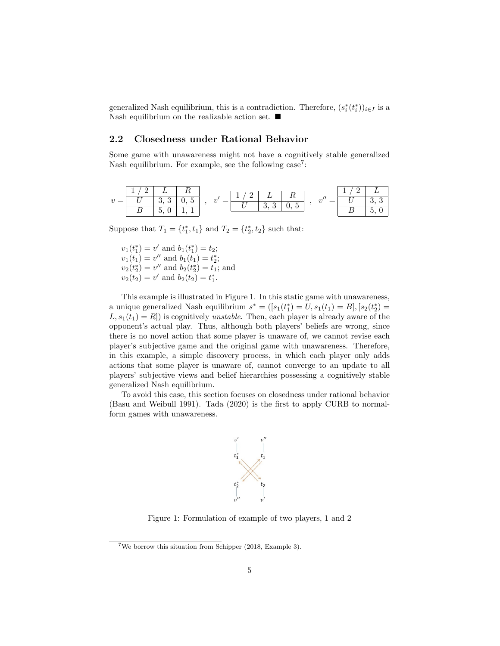generalized Nash equilibrium, this is a contradiction. Therefore,  $(s_i^*(t_i^*))_{i \in I}$  is a Nash equilibrium on the realizable action set. ■

## **2.2 Closedness under Rational Behavior**

Some game with unawareness might not have a cognitively stable generalized Nash equilibrium. For example, see the following case<sup>7</sup>:

$$
v = \begin{array}{|c|c|c|c|c|c|c|} \hline 1&2 &L &R \\ \hline U&3,3 &0,5 &, \\ \hline B&5,0 &1,1 & \end{array}, \ \ v' = \begin{array}{|c|c|c|c|} \hline 1&2 &L &R \\ \hline U&3,3 &0,5 &, \\ \hline U&3,3 &0,5 & \end{array}, \ \ v'' = \begin{array}{|c|c|c|c|} \hline 1&2 &L \\ \hline U&3,3 & \\ \hline B&5,0 & \end{array}
$$

Suppose that  $T_1 = \{t_1^*, t_1\}$  and  $T_2 = \{t_2^*, t_2\}$  such that:

 $v_1(t_1^*) = v'$  and  $b_1(t_1^*) = t_2$ ;  $v_1(t_1) = v''$  and  $b_1(t_1) = t_2^*$ ;  $v_2(t_2^*) = v''$  and  $b_2(t_2^*) = t_1$ ; and  $v_2(t_2) = v'$  and  $b_2(t_2) = t_1^*$ .

This example is illustrated in Figure 1. In this static game with unawareness, a unique generalized Nash equilibrium  $s^* = ([s_1(t_1^*) = U, s_1(t_1) = B], [s_2(t_2^*) =$  $L, s_1(t_1) = R$ ) is cognitively *unstable*. Then, each player is already aware of the opponent's actual play. Thus, although both players' beliefs are wrong, since there is no novel action that some player is unaware of, we cannot revise each player's subjective game and the original game with unawareness. Therefore, in this example, a simple discovery process, in which each player only adds actions that some player is unaware of, cannot converge to an update to all players' subjective views and belief hierarchies possessing a cognitively stable generalized Nash equilibrium.

To avoid this case, this section focuses on closedness under rational behavior (Basu and Weibull 1991). Tada (2020) is the first to apply CURB to normalform games with unawareness.



Figure 1: Formulation of example of two players, 1 and 2

<sup>7</sup>We borrow this situation from Schipper (2018, Example 3).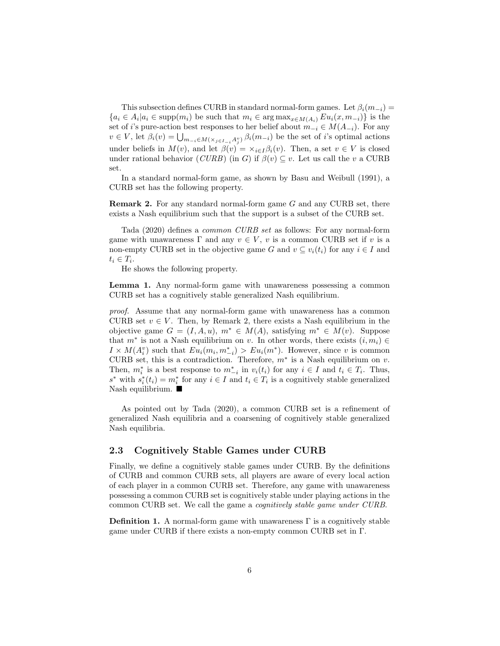This subsection defines CURB in standard normal-form games. Let  $\beta_i(m_{-i})$  =  ${a_i \in A_i | a_i \in \text{supp}(m_i)}$  be such that  $m_i \in \arg \max_{x \in M(A_i)} Eu_i(x, m_{-i})$  is the set of *i*'s pure-action best responses to her belief about  $m_{-i} \in M(A_{-i})$ . For any  $v \in V$ , let  $\beta_i(v) = \bigcup_{m_{-i} \in M(\times_{j \in I_{-i}} A_j^v)} \beta_i(m_{-i})$  be the set of *i*'s optimal actions under beliefs in  $M(v)$ , and let  $\beta(v) = \times_{i \in I} \beta_i(v)$ . Then, a set  $v \in V$  is closed under rational behavior (*CURB*) (in *G*) if  $\beta(v) \subseteq v$ . Let us call the *v* a CURB set.

In a standard normal-form game, as shown by Basu and Weibull (1991), a CURB set has the following property.

**Remark 2.** For any standard normal-form game *G* and any CURB set, there exists a Nash equilibrium such that the support is a subset of the CURB set.

Tada (2020) defines a *common CURB set* as follows: For any normal-form game with unawareness  $\Gamma$  and any  $v \in V$ ,  $v$  is a common CURB set if  $v$  is a non-empty CURB set in the objective game *G* and  $v \subseteq v_i(t_i)$  for any  $i \in I$  and  $t_i \in T_i$ .

He shows the following property.

**Lemma 1.** Any normal-form game with unawareness possessing a common CURB set has a cognitively stable generalized Nash equilibrium.

*proof.* Assume that any normal-form game with unawareness has a common CURB set  $v \in V$ . Then, by Remark 2, there exists a Nash equilibrium in the objective game  $G = (I, A, u)$ ,  $m^* \in M(A)$ , satisfying  $m^* \in M(v)$ . Suppose that  $m^*$  is not a Nash equilibrium on *v*. In other words, there exists  $(i, m_i) \in$  $I \times M(A_i^v)$  such that  $Eu_i(m_i, m_{-i}^*) > Eu_i(m^*)$ . However, since *v* is common CURB set, this is a contradiction. Therefore,  $m^*$  is a Nash equilibrium on  $v$ . Then,  $m_i^*$  is a best response to  $m_{-i}^*$  in  $v_i(t_i)$  for any  $i \in I$  and  $t_i \in T_i$ . Thus,  $s^*$  with  $s_i^*(t_i) = m_i^*$  for any  $i \in I$  and  $t_i \in T_i$  is a cognitively stable generalized Nash equilibrium. ■

As pointed out by Tada (2020), a common CURB set is a refinement of generalized Nash equilibria and a coarsening of cognitively stable generalized Nash equilibria.

## **2.3 Cognitively Stable Games under CURB**

Finally, we define a cognitively stable games under CURB. By the definitions of CURB and common CURB sets, all players are aware of every local action of each player in a common CURB set. Therefore, any game with unawareness possessing a common CURB set is cognitively stable under playing actions in the common CURB set. We call the game a *cognitively stable game under CURB*.

**Definition 1.** A normal-form game with unawareness Γ is a cognitively stable game under CURB if there exists a non-empty common CURB set in Γ.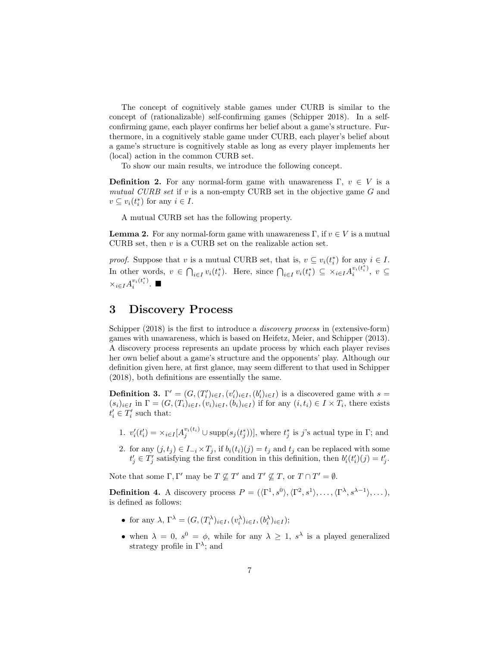The concept of cognitively stable games under CURB is similar to the concept of (rationalizable) self-confirming games (Schipper 2018). In a selfconfirming game, each player confirms her belief about a game's structure. Furthermore, in a cognitively stable game under CURB, each player's belief about a game's structure is cognitively stable as long as every player implements her (local) action in the common CURB set.

To show our main results, we introduce the following concept.

**Definition 2.** For any normal-form game with unawareness  $\Gamma, v \in V$  is a *mutual CURB set* if *v* is a non-empty CURB set in the objective game *G* and  $v \subseteq v_i(t_i^*)$  for any  $i \in I$ .

A mutual CURB set has the following property.

**Lemma 2.** For any normal-form game with unawareness  $\Gamma$ , if  $v \in V$  is a mutual CURB set, then *v* is a CURB set on the realizable action set.

*proof.* Suppose that *v* is a mutual CURB set, that is,  $v \subseteq v_i(t_i^*)$  for any  $i \in I$ . In other words,  $v \in \bigcap_{i \in I} v_i(t_i^*)$ . Here, since  $\bigcap_{i \in I} v_i(t_i^*) \subseteq \times_{i \in I} A_i^{v_i(t_i^*)}$  $v_i^{v_i(t_i)}, v$  ⊆  $\times$ *i*∈*I*</sub> $A_i^{v_i(t_i^*)}$  $i^{v_i(\iota_i)}$ .  $\blacksquare$ 

## **3 Discovery Process**

Schipper (2018) is the first to introduce a *discovery process* in (extensive-form) games with unawareness, which is based on Heifetz, Meier, and Schipper (2013). A discovery process represents an update process by which each player revises her own belief about a game's structure and the opponents' play. Although our definition given here, at first glance, may seem different to that used in Schipper (2018), both definitions are essentially the same.

**Definition 3.**  $\Gamma' = (G, (T'_i)_{i \in I}, (v'_i)_{i \in I}, (b'_i)_{i \in I})$  is a discovered game with  $s =$  $(s_i)_{i\in I}$  in  $\Gamma = (G, (T_i)_{i\in I}, (v_i)_{i\in I}, (b_i)_{i\in I})$  if for any  $(i, t_i) \in I \times T_i$ , there exists  $t'_{i} \in T'_{i}$  such that:

- 1.  $v'_i(t'_i) = \times_{i \in I} [A_j^{v_i(t_i)} \cup \text{supp}(s_j(t_j^*))]$ , where  $t_j^*$  is j's actual type in  $\Gamma$ ; and
- 2. for any  $(j, t_j) \in I_{-i} \times T_j$ , if  $b_i(t_i)(j) = t_j$  and  $t_j$  can be replaced with some  $t'_{j} \in T'_{j}$  satisfying the first condition in this definition, then  $b'_{i}(t'_{i})(j) = t'_{j}$ .

Note that some  $\Gamma, \Gamma'$  may be  $T \nsubseteq T'$  and  $T' \nsubseteq T$ , or  $T \cap T' = \emptyset$ .

**Definition 4.** A discovery process  $P = (\langle \Gamma^1, s^0 \rangle, \langle \Gamma^2, s^1 \rangle, \dots, \langle \Gamma^{\lambda}, s^{\lambda-1} \rangle, \dots)$ , is defined as follows:

- for any  $\lambda$ ,  $\Gamma^{\lambda} = (G, (T_i^{\lambda})_{i \in I}, (v_i^{\lambda})_{i \in I}, (b_i^{\lambda})_{i \in I});$
- when  $\lambda = 0$ ,  $s^0 = \phi$ , while for any  $\lambda \geq 1$ ,  $s^{\lambda}$  is a played generalized strategy profile in Γ*<sup>λ</sup>* ; and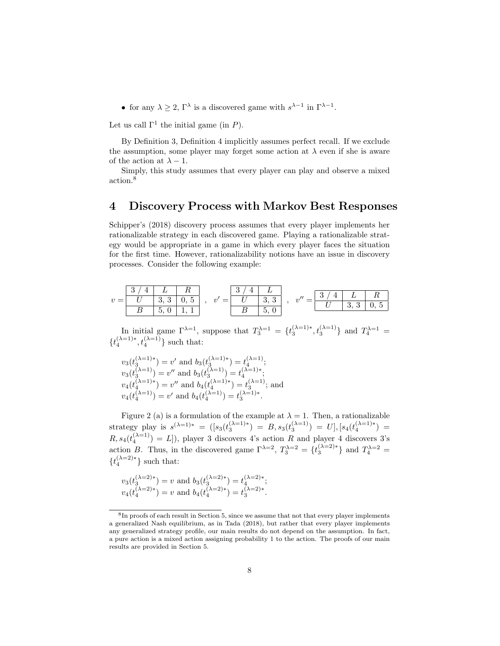• for any  $\lambda \geq 2$ ,  $\Gamma^{\lambda}$  is a discovered game with  $s^{\lambda-1}$  in  $\Gamma^{\lambda-1}$ .

Let us call  $\Gamma^1$  the initial game (in *P*).

By Definition 3, Definition 4 implicitly assumes perfect recall. If we exclude the assumption, some player may forget some action at  $\lambda$  even if she is aware of the action at  $\lambda - 1$ .

Simply, this study assumes that every player can play and observe a mixed action.<sup>8</sup>

## **4 Discovery Process with Markov Best Responses**

Schipper's (2018) discovery process assumes that every player implements her rationalizable strategy in each discovered game. Playing a rationalizable strategy would be appropriate in a game in which every player faces the situation for the first time. However, rationalizability notions have an issue in discovery processes. Consider the following example:

*v* = 3 / 4 *L R U* 3, 3 0, 5 *B* 5, 0 1, 1 *, v′* = 3 / 4 *L U* 3, 3 *B* 5, 0 *, v′′* = 3 / 4 *L R U* 3, 3 0, 5

In initial game  $\Gamma^{\lambda=1}$ , suppose that  $T_3^{\lambda=1} = \{t_3^{(\lambda=1)*}, t_3^{(\lambda=1)}\}$  and  $T_4^{\lambda=1}$  ${t_4^{(\lambda=1)*}, t_4^{(\lambda=1)}}$  such that:

$$
v_3(t_3^{(\lambda=1)*}) = v' \text{ and } b_3(t_3^{(\lambda=1)*}) = t_4^{(\lambda=1)};
$$
  
\n
$$
v_3(t_3^{(\lambda=1)}) = v'' \text{ and } b_3(t_3^{(\lambda=1)}) = t_4^{(\lambda=1)*};
$$
  
\n
$$
v_4(t_4^{(\lambda=1)*}) = v'' \text{ and } b_4(t_4^{(\lambda=1)*}) = t_3^{(\lambda=1)};
$$
 and  
\n
$$
v_4(t_4^{(\lambda=1)}) = v' \text{ and } b_4(t_4^{(\lambda=1)}) = t_3^{(\lambda=1)*}.
$$

Figure 2 (a) is a formulation of the example at  $\lambda = 1$ . Then, a rationalizable strategy play is  $s^{(\lambda=1)*} = ([s_3(t_3^{(\lambda=1)*}) = B, s_3(t_3^{(\lambda=1)}) = U], [s_4(t_4^{(\lambda=1)*}) =$  $R, s_4(t_4^{(\lambda=1)}) = L$ ]), player 3 discovers 4's action *R* and player 4 discovers 3's action *B*. Thus, in the discovered game  $\Gamma^{\lambda=2}$ ,  $T_3^{\lambda=2} = \{t_3^{(\lambda=2)*}\}\$  and  $T_4^{\lambda=2}$  $\{t_4^{(\lambda=2)*}\}\$  such that:

$$
v_3(t_3^{(\lambda=2)*}) = v
$$
 and  $b_3(t_3^{(\lambda=2)*}) = t_4^{(\lambda=2)*};$   
 $v_4(t_4^{(\lambda=2)*}) = v$  and  $b_4(t_4^{(\lambda=2)*}) = t_3^{(\lambda=2)*}.$ 

<sup>&</sup>lt;sup>8</sup>In proofs of each result in Section 5, since we assume that not that every player implements a generalized Nash equilibrium, as in Tada (2018), but rather that every player implements any generalized strategy profile, our main results do not depend on the assumption. In fact, a pure action is a mixed action assigning probability 1 to the action. The proofs of our main results are provided in Section 5.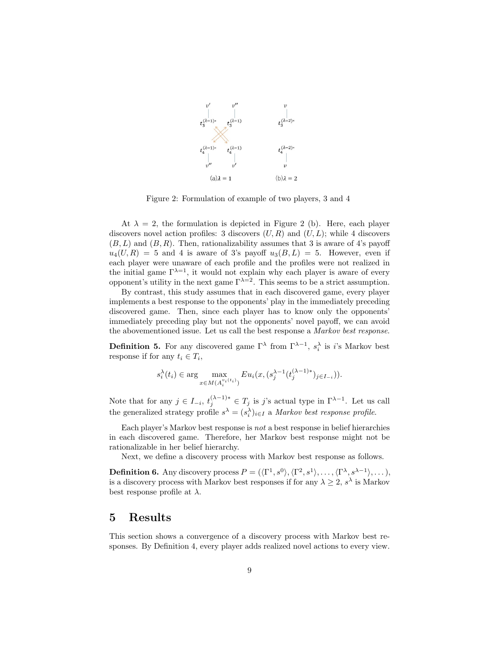

Figure 2: Formulation of example of two players, 3 and 4

At  $\lambda = 2$ , the formulation is depicted in Figure 2 (b). Here, each player discovers novel action profiles: 3 discovers  $(U, R)$  and  $(U, L)$ ; while 4 discovers  $(B, L)$  and  $(B, R)$ . Then, rationalizability assumes that 3 is aware of 4's payoff  $u_4(U, R) = 5$  and 4 is aware of 3's payoff  $u_3(B, L) = 5$ . However, even if each player were unaware of each profile and the profiles were not realized in the initial game  $\Gamma^{\lambda=1}$ , it would not explain why each player is aware of every opponent's utility in the next game  $\Gamma^{\lambda=2}$ . This seems to be a strict assumption.

By contrast, this study assumes that in each discovered game, every player implements a best response to the opponents' play in the immediately preceding discovered game. Then, since each player has to know only the opponents' immediately preceding play but not the opponents' novel payoff, we can avoid the abovementioned issue. Let us call the best response a *Markov best response*.

**Definition 5.** For any discovered game  $\Gamma^{\lambda}$  from  $\Gamma^{\lambda-1}$ ,  $s_i^{\lambda}$  is *i*'s Markov best response if for any  $t_i \in T_i$ ,

$$
s_i^{\lambda}(t_i) \in \arg \max_{x \in M(A_i^{v_i(t_i)})} Eu_i(x, (s_j^{\lambda-1}(t_j^{(\lambda-1)*}))_{j \in I_{-i}})).
$$

Note that for any  $j \in I_{-i}$ ,  $t_j^{(\lambda-1)*} \in T_j$  is *j*'s actual type in  $\Gamma^{\lambda-1}$ . Let us call the generalized strategy profile  $s^{\lambda} = (s_i^{\lambda})_{i \in I}$  a *Markov best response profile.* 

Each player's Markov best response is *not* a best response in belief hierarchies in each discovered game. Therefore, her Markov best response might not be rationalizable in her belief hierarchy.

Next, we define a discovery process with Markov best response as follows.

**Definition 6.** Any discovery process  $P = (\langle \Gamma^1, s^0 \rangle, \langle \Gamma^2, s^1 \rangle, \dots, \langle \Gamma^{\lambda}, s^{\lambda-1} \rangle, \dots)$ , is a discovery process with Markov best responses if for any  $\lambda \geq 2$ ,  $s^{\lambda}$  is Markov best response profile at *λ*.

## **5 Results**

This section shows a convergence of a discovery process with Markov best responses. By Definition 4, every player adds realized novel actions to every view.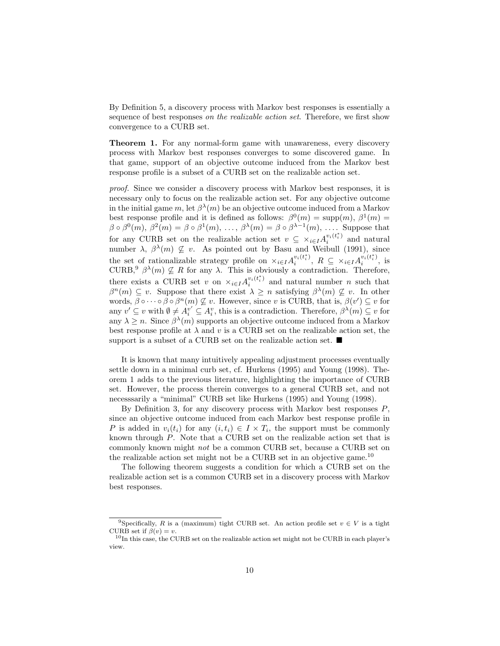By Definition 5, a discovery process with Markov best responses is essentially a sequence of best responses *on the realizable action set*. Therefore, we first show convergence to a CURB set.

**Theorem 1.** For any normal-form game with unawareness, every discovery process with Markov best responses converges to some discovered game. In that game, support of an objective outcome induced from the Markov best response profile is a subset of a CURB set on the realizable action set.

*proof.* Since we consider a discovery process with Markov best responses, it is necessary only to focus on the realizable action set. For any objective outcome in the initial game  $m$ , let  $\beta^{\lambda}(m)$  be an objective outcome induced from a Markov best response profile and it is defined as follows:  $\beta^{0}(m) = \text{supp}(m)$ ,  $\beta^{1}(m) =$  $\beta \circ \beta^{0}(m)$ ,  $\beta^{2}(m) = \beta \circ \beta^{1}(m)$ , ...,  $\beta^{\lambda}(m) = \beta \circ \beta^{\lambda-1}(m)$ , .... Suppose that for any CURB set on the realizable action set  $v \subseteq \times_{i \in I} A_i^{v_i(t_i^*)}$  $i^{v_i(\ell_i)}$  and natural number  $\lambda$ ,  $\beta^{\lambda}(m) \nsubseteq v$ . As pointed out by Basu and Weibull (1991), since the set of rationalizable strategy profile on  $\times_{i \in I} A_i^{v_i(t_i^*)}$  $\sum_{i}^{v_i(t_i^*)}$ ,  $R \subseteq \times_{i \in I} A_i^{v_i(t_i^*)}$  $i^{v_i(\iota_i)},$  is CURB,<sup>9</sup>  $\beta^{\lambda}(m) \nsubseteq R$  for any  $\lambda$ . This is obviously a contradiction. Therefore, there exists a CURB set *v* on  $\times_{i \in I} A_i^{v_i(t_i^*)}$  $\sum_{i=1}^{v_i(t_i)}$  and natural number *n* such that  $\beta^{n}(m) \subseteq v$ . Suppose that there exist  $\lambda \geq n$  satisfying  $\beta^{\lambda}(m) \nsubseteq v$ . In other words,  $\beta \circ \cdots \circ \beta \circ \beta^{n}(m) \not\subseteq v$ . However, since *v* is CURB, that is,  $\beta(v') \subseteq v$  for any  $v' \subseteq v$  with  $\emptyset \neq A_i^{v'} \subseteq A_i^v$ , this is a contradiction. Therefore,  $\beta^{\lambda}(m) \subseteq v$  for any  $\lambda \geq n$ . Since  $\beta^{\lambda}(m)$  supports an objective outcome induced from a Markov best response profile at  $\lambda$  and  $v$  is a CURB set on the realizable action set, the support is a subset of a CURB set on the realizable action set. ■

It is known that many intuitively appealing adjustment processes eventually settle down in a minimal curb set, cf. Hurkens (1995) and Young (1998). Theorem 1 adds to the previous literature, highlighting the importance of CURB set. However, the process therein converges to a general CURB set, and not necesssarily a "minimal" CURB set like Hurkens (1995) and Young (1998).

By Definition 3, for any discovery process with Markov best responses *P*, since an objective outcome induced from each Markov best response profile in *P* is added in  $v_i(t_i)$  for any  $(i, t_i) \in I \times T_i$ , the support must be commonly known through *P*. Note that a CURB set on the realizable action set that is commonly known might *not* be a common CURB set, because a CURB set on the realizable action set might not be a CURB set in an objective game.<sup>10</sup>

The following theorem suggests a condition for which a CURB set on the realizable action set is a common CURB set in a discovery process with Markov best responses.

<sup>&</sup>lt;sup>9</sup>Specifically, *R* is a (maximum) tight CURB set. An action profile set  $v \in V$  is a tight CURB set if  $\beta(v) = v$ .

 $^{10}$ In this case, the CURB set on the realizable action set might not be CURB in each player's view.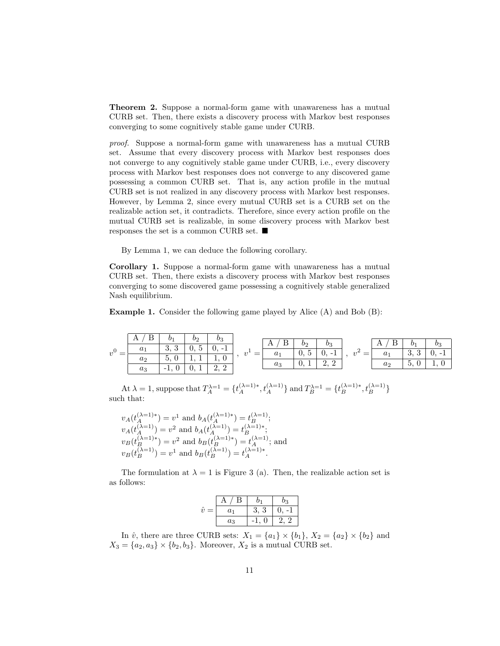**Theorem 2.** Suppose a normal-form game with unawareness has a mutual CURB set. Then, there exists a discovery process with Markov best responses converging to some cognitively stable game under CURB.

*proof.* Suppose a normal-form game with unawareness has a mutual CURB set. Assume that every discovery process with Markov best responses does not converge to any cognitively stable game under CURB, i.e., every discovery process with Markov best responses does not converge to any discovered game possessing a common CURB set. That is, any action profile in the mutual CURB set is not realized in any discovery process with Markov best responses. However, by Lemma 2, since every mutual CURB set is a CURB set on the realizable action set, it contradicts. Therefore, since every action profile on the mutual CURB set is realizable, in some discovery process with Markov best responses the set is a common CURB set. ■

By Lemma 1, we can deduce the following corollary.

**Corollary 1.** Suppose a normal-form game with unawareness has a mutual CURB set. Then, there exists a discovery process with Markov best responses converging to some discovered game possessing a cognitively stable generalized Nash equilibrium.

**Example 1.** Consider the following game played by Alice (A) and Bob (B):

| $v^0$ | А     | b1       |                          | UΩ                   | - | bо<br>А<br>$\theta$ ,<br>$a_1$<br>$a_3$<br>v. |                                          |                                      |               |    |        |  |
|-------|-------|----------|--------------------------|----------------------|---|-----------------------------------------------|------------------------------------------|--------------------------------------|---------------|----|--------|--|
|       | U1    | $\Omega$ | $\overline{\phantom{0}}$ |                      |   |                                               | Dэ                                       |                                      | Β<br>А        | b1 |        |  |
|       |       | ಀ<br>v.  | v.                       |                      |   |                                               | $\overline{\phantom{0}}$<br>$\mathbf{c}$ | $\mathbf{I}$<br>$\mathbf{U}$<br>$-1$ | $\tilde{ }$ = |    | .<br>◡ |  |
|       | aэ    |          | <b>.</b>                 | $\boldsymbol{0}$     |   |                                               | ററ                                       |                                      |               |    |        |  |
|       |       |          |                          | $\Omega$<br>$\Omega$ |   |                                               |                                          |                                      |               |    |        |  |
|       | $a_3$ | $-1,$    | v. t                     | $\overline{a}$       |   |                                               |                                          |                                      |               |    |        |  |

At  $\lambda = 1$ , suppose that  $T_A^{\lambda=1} = \{t_A^{(\lambda=1)*}, t_A^{(\lambda=1)}\}$  and  $T_B^{\lambda=1} = \{t_B^{(\lambda=1)*}, t_B^{(\lambda=1)}\}$ such that:

$$
v_A(t_A^{(\lambda=1)*}) = v^1 \text{ and } b_A(t_A^{(\lambda=1)*}) = t_B^{(\lambda=1)};
$$
  
\n
$$
v_A(t_A^{(\lambda=1)}) = v^2 \text{ and } b_A(t_A^{(\lambda=1)}) = t_B^{(\lambda=1)*};
$$
  
\n
$$
v_B(t_B^{(\lambda=1)*}) = v^2 \text{ and } b_B(t_B^{(\lambda=1)*}) = t_A^{(\lambda=1)};
$$
 and  
\n
$$
v_B(t_B^{(\lambda=1)}) = v^1 \text{ and } b_B(t_B^{(\lambda=1)}) = t_A^{(\lambda=1)*}.
$$

The formulation at  $\lambda = 1$  is Figure 3 (a). Then, the realizable action set is as follows:

|                | B     | О1   | b3 |
|----------------|-------|------|----|
| $\hat{v}$<br>= | $a_1$ | 3, 3 |    |
|                | $a_3$ | ſ    | ാ  |

In  $\hat{v}$ , there are three CURB sets:  $X_1 = \{a_1\} \times \{b_1\}$ ,  $X_2 = \{a_2\} \times \{b_2\}$  and  $X_3 = \{a_2, a_3\} \times \{b_2, b_3\}$ . Moreover,  $X_2$  is a mutual CURB set.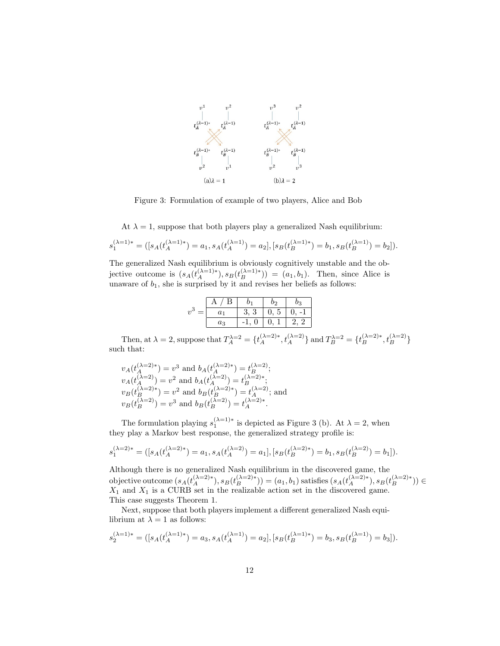

Figure 3: Formulation of example of two players, Alice and Bob

At  $\lambda = 1$ , suppose that both players play a generalized Nash equilibrium:

$$
s_1^{(\lambda=1)*} = ([s_A(t_A^{(\lambda=1)*}) = a_1, s_A(t_A^{(\lambda=1)}) = a_2], [s_B(t_B^{(\lambda=1)*}) = b_1, s_B(t_B^{(\lambda=1)}) = b_2]).
$$

The generalized Nash equilibrium is obviously cognitively unstable and the objective outcome is  $(s_A(t_A^{(\lambda=1)*}), s_B(t_B^{(\lambda=1)*})) = (a_1, b_1)$ . Then, since Alice is unaware of  $b_1$ , she is surprised by it and revises her beliefs as follows:

|                                   | B              |      |            |     |
|-----------------------------------|----------------|------|------------|-----|
| - 3<br>$\boldsymbol{\eta}$<br>$=$ | a <sub>1</sub> | 3, 3 | 0, 5       |     |
|                                   | $a_3$          |      | $\theta$ . | - 9 |
|                                   |                |      |            |     |

Then, at  $\lambda = 2$ , suppose that  $T_A^{\lambda=2} = \{t_A^{(\lambda=2)*}, t_A^{(\lambda=2)}\}$  and  $T_B^{\lambda=2} = \{t_B^{(\lambda=2)*}, t_B^{(\lambda=2)}\}$ such that:

$$
v_A(t_A^{(\lambda=2)*}) = v^3 \text{ and } b_A(t_A^{(\lambda=2)*}) = t_B^{(\lambda=2)};
$$
  
\n
$$
v_A(t_A^{(\lambda=2)}) = v^2 \text{ and } b_A(t_A^{(\lambda=2)}) = t_B^{(\lambda=2)*};
$$
  
\n
$$
v_B(t_B^{(\lambda=2)*}) = v^2 \text{ and } b_B(t_B^{(\lambda=2)*}) = t_A^{(\lambda=2)};
$$
 and  
\n
$$
v_B(t_B^{(\lambda=2)}) = v^3 \text{ and } b_B(t_B^{(\lambda=2)}) = t_A^{(\lambda=2)*}.
$$

The formulation playing  $s_1^{(\lambda=1)*}$  is depicted as Figure 3 (b). At  $\lambda = 2$ , when they play a Markov best response, the generalized strategy profile is:

$$
s_1^{(\lambda=2)*} = ([s_A(t_A^{(\lambda=2)*}) = a_1, s_A(t_A^{(\lambda=2)}) = a_1], [s_B(t_B^{(\lambda=2)*}) = b_1, s_B(t_B^{(\lambda=2)}) = b_1]).
$$

Although there is no generalized Nash equilibrium in the discovered game, the objective outcome  $(s_A(t_A^{(\lambda=2)*}), s_B(t_B^{(\lambda=2)*})) = (a_1, b_1)$  satisfies  $(s_A(t_A^{(\lambda=2)*}), s_B(t_B^{(\lambda=2)*})) \in$ *X*<sup>1</sup> and *X*<sup>1</sup> is a CURB set in the realizable action set in the discovered game. This case suggests Theorem 1.

Next, suppose that both players implement a different generalized Nash equilibrium at  $\lambda = 1$  as follows:

$$
s_2^{(\lambda=1)*} = ([s_A(t_A^{(\lambda=1)*}) = a_3, s_A(t_A^{(\lambda=1)}) = a_2], [s_B(t_B^{(\lambda=1)*}) = b_3, s_B(t_B^{(\lambda=1)}) = b_3]).
$$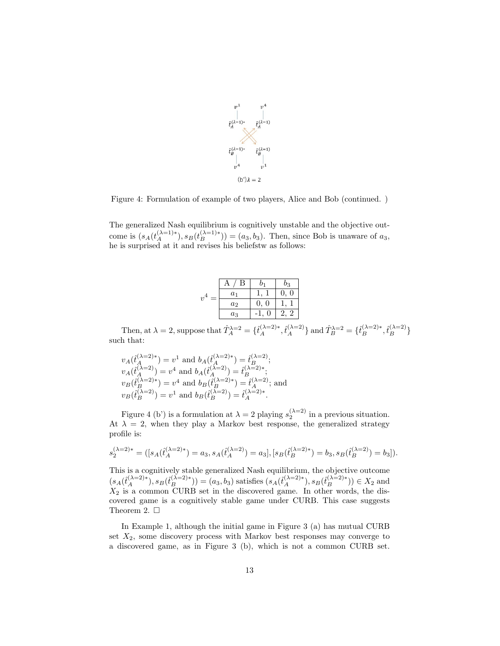

Figure 4: Formulation of example of two players, Alice and Bob (continued. )

The generalized Nash equilibrium is cognitively unstable and the objective outcome is  $(s_A(t_A^{(\lambda=1)*}), s_B(t_B^{(\lambda=1)*})) = (a_3, b_3)$ . Then, since Bob is unaware of  $a_3$ , he is surprised at it and revises his beliefstw as follows:

|                         | B              |                 | b3            |  |
|-------------------------|----------------|-----------------|---------------|--|
| $\overline{\mathbf{r}}$ | $a_1$          |                 | 0<br>$\theta$ |  |
|                         | a <sub>2</sub> | 0<br>$\theta$ . |               |  |
|                         | $a_3$          |                 | 2             |  |
|                         |                |                 |               |  |

Then, at  $\lambda = 2$ , suppose that  $\hat{T}_A^{\lambda=2} = {\hat{t}_A^{(\lambda=2)*}, \hat{t}_A^{(\lambda=2)}}$  and  $\hat{T}_B^{\lambda=2} = {\hat{t}_B^{(\lambda=2)*}, \hat{t}_B^{(\lambda=2)}}$ such that:

$$
v_A(\hat{t}_A^{(\lambda=2)*}) = v^1 \text{ and } b_A(\hat{t}_A^{(\lambda=2)*}) = \hat{t}_B^{(\lambda=2)};
$$
  
\n
$$
v_A(\hat{t}_A^{(\lambda=2)}) = v^4 \text{ and } b_A(\hat{t}_A^{(\lambda=2)}) = \hat{t}_B^{(\lambda=2)*};
$$
  
\n
$$
v_B(\hat{t}_B^{(\lambda=2)*}) = v^4 \text{ and } b_B(\hat{t}_B^{(\lambda=2)*}) = \hat{t}_A^{(\lambda=2)};
$$
 and  
\n
$$
v_B(\hat{t}_B^{(\lambda=2)}) = v^1 \text{ and } b_B(\hat{t}_B^{(\lambda=2)}) = \hat{t}_A^{(\lambda=2)*}.
$$

Figure 4 (b') is a formulation at  $\lambda = 2$  playing  $s_2^{(\lambda=2)}$  in a previous situation. At  $\lambda = 2$ , when they play a Markov best response, the generalized strategy profile is:

$$
s_2^{(\lambda=2)*} = ([s_A(\hat{t}_A^{(\lambda=2)*}) = a_3, s_A(\hat{t}_A^{(\lambda=2)}) = a_3], [s_B(\hat{t}_B^{(\lambda=2)*}) = b_3, s_B(\hat{t}_B^{(\lambda=2)}) = b_3]).
$$

This is a cognitively stable generalized Nash equilibrium, the objective outcome  $(s_A(\hat{t}_A^{(\lambda=2)*}), s_B(\hat{t}_B^{(\lambda=2)*})) = (a_3, b_3)$  satisfies  $(s_A(\hat{t}_A^{(\lambda=2)*}), s_B(\hat{t}_B^{(\lambda=2)*})) \in X_2$  and *X*<sup>2</sup> is a common CURB set in the discovered game. In other words, the discovered game is a cognitively stable game under CURB. This case suggests Theorem 2. □

In Example 1, although the initial game in Figure 3 (a) has mutual CURB set  $X_2$ , some discovery process with Markov best responses may converge to a discovered game, as in Figure 3 (b), which is not a common CURB set.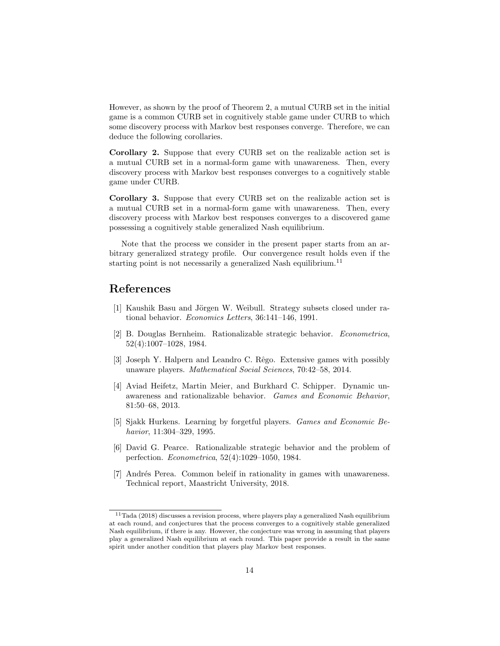However, as shown by the proof of Theorem 2, a mutual CURB set in the initial game is a common CURB set in cognitively stable game under CURB to which some discovery process with Markov best responses converge. Therefore, we can deduce the following corollaries.

**Corollary 2.** Suppose that every CURB set on the realizable action set is a mutual CURB set in a normal-form game with unawareness. Then, every discovery process with Markov best responses converges to a cognitively stable game under CURB.

**Corollary 3.** Suppose that every CURB set on the realizable action set is a mutual CURB set in a normal-form game with unawareness. Then, every discovery process with Markov best responses converges to a discovered game possessing a cognitively stable generalized Nash equilibrium.

Note that the process we consider in the present paper starts from an arbitrary generalized strategy profile. Our convergence result holds even if the starting point is not necessarily a generalized Nash equilibrium.<sup>11</sup>

# **References**

- [1] Kaushik Basu and Jörgen W. Weibull. Strategy subsets closed under rational behavior. *Economics Letters*, 36:141–146, 1991.
- [2] B. Douglas Bernheim. Rationalizable strategic behavior. *Econometrica*, 52(4):1007–1028, 1984.
- [3] Joseph Y. Halpern and Leandro C. Rêgo. Extensive games with possibly unaware players. *Mathematical Social Sciences*, 70:42–58, 2014.
- [4] Aviad Heifetz, Martin Meier, and Burkhard C. Schipper. Dynamic unawareness and rationalizable behavior. *Games and Economic Behavior*, 81:50–68, 2013.
- [5] Sjakk Hurkens. Learning by forgetful players. *Games and Economic Behavior*, 11:304–329, 1995.
- [6] David G. Pearce. Rationalizable strategic behavior and the problem of perfection. *Econometrica*, 52(4):1029–1050, 1984.
- [7] Andrés Perea. Common beleif in rationality in games with unawareness. Technical report, Maastricht University, 2018.

 $^{11}\mathrm{Tada}$  (2018) discusses a revision process, where players play a generalized Nash equilibrium at each round, and conjectures that the process converges to a cognitively stable generalized Nash equilibrium, if there is any. However, the conjecture was wrong in assuming that players play a generalized Nash equilibrium at each round. This paper provide a result in the same spirit under another condition that players play Markov best responses.